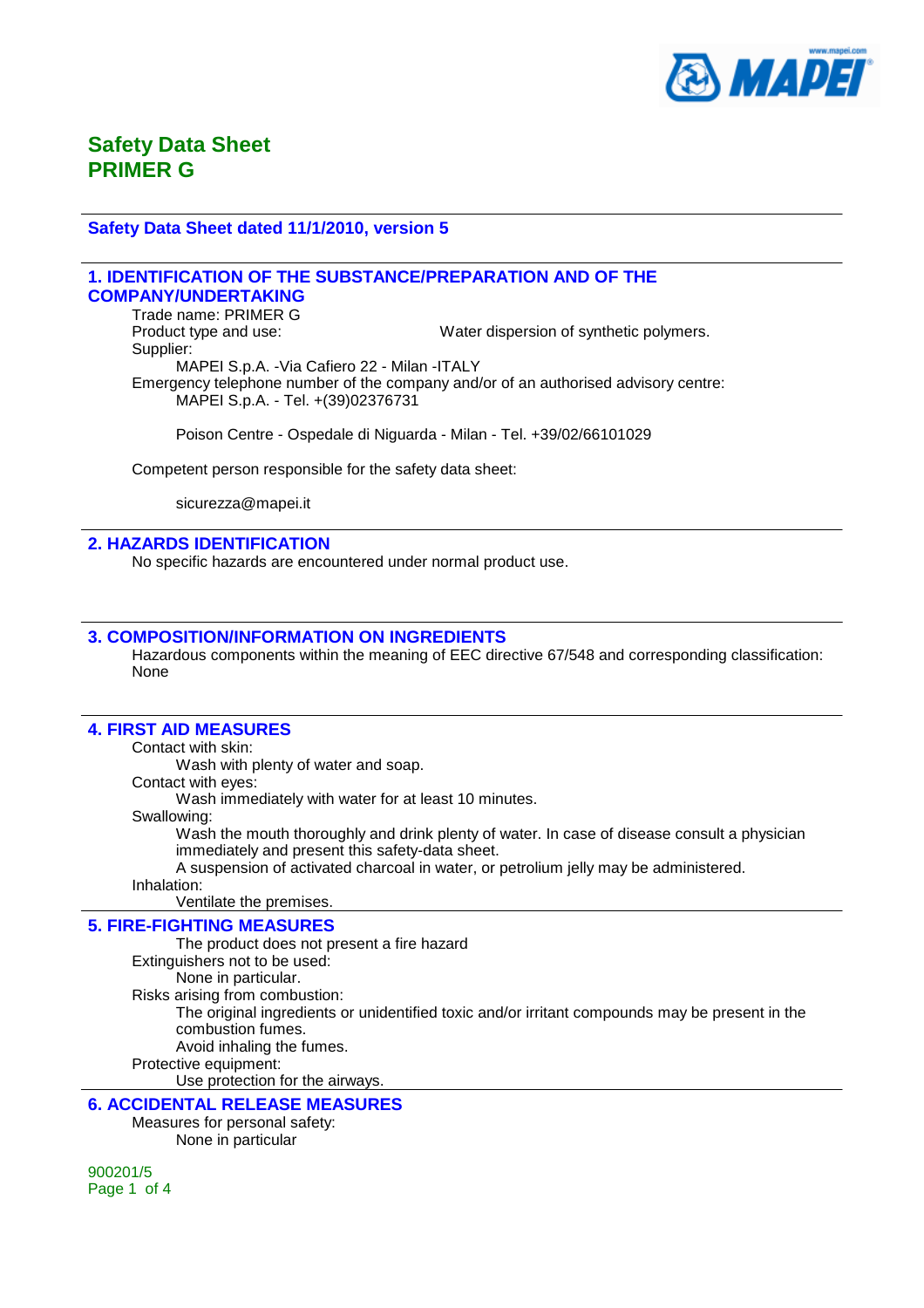

#### **Safety Data Sheet dated 11/1/2010, version 5**

#### **1. IDENTIFICATION OF THE SUBSTANCE/PREPARATION AND OF THE COMPANY/UNDERTAKING**

Trade name: PRIMER G Product type and use: Water dispersion of synthetic polymers. Supplier: MAPEI S.p.A. -Via Cafiero 22 - Milan -ITALY Emergency telephone number of the company and/or of an authorised advisory centre: MAPEI S.p.A. - Tel. +(39)02376731

Poison Centre - Ospedale di Niguarda - Milan - Tel. +39/02/66101029

Competent person responsible for the safety data sheet:

sicurezza@mapei.it

### **2. HAZARDS IDENTIFICATION**

No specific hazards are encountered under normal product use.

### **3. COMPOSITION/INFORMATION ON INGREDIENTS**

Hazardous components within the meaning of EEC directive 67/548 and corresponding classification: None

#### **4. FIRST AID MEASURES**

Contact with skin:

Wash with plenty of water and soap.

Contact with eyes:

Wash immediately with water for at least 10 minutes.

#### Swallowing:

Wash the mouth thoroughly and drink plenty of water. In case of disease consult a physician immediately and present this safety-data sheet.

A suspension of activated charcoal in water, or petrolium jelly may be administered.

Inhalation:

Ventilate the premises.

#### **5. FIRE-FIGHTING MEASURES**

The product does not present a fire hazard Extinguishers not to be used: None in particular. Risks arising from combustion: The original ingredients or unidentified toxic and/or irritant compounds may be present in the combustion fumes. Avoid inhaling the fumes. Protective equipment:

Use protection for the airways.

### **6. ACCIDENTAL RELEASE MEASURES**

Measures for personal safety: None in particular

900201/5 Page 1 of 4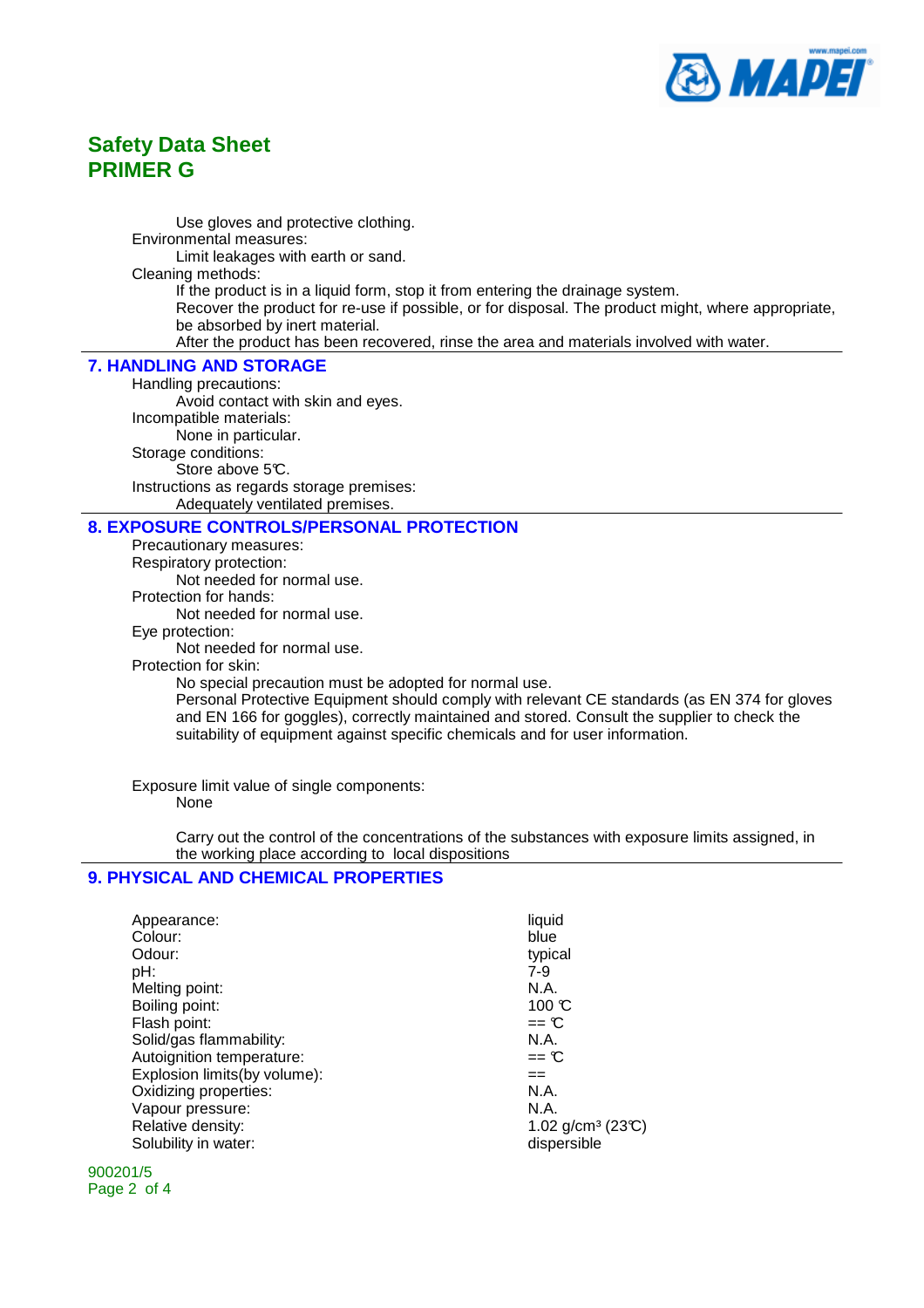

Use gloves and protective clothing. Environmental measures: Limit leakages with earth or sand. Cleaning methods: If the product is in a liquid form, stop it from entering the drainage system. Recover the product for re-use if possible, or for disposal. The product might, where appropriate, be absorbed by inert material. After the product has been recovered, rinse the area and materials involved with water.

#### **7. HANDLING AND STORAGE**

Handling precautions: Avoid contact with skin and eyes. Incompatible materials: None in particular. Storage conditions: Store above 5°C. Instructions as regards storage premises: Adequately ventilated premises.

#### **8. EXPOSURE CONTROLS/PERSONAL PROTECTION**

Precautionary measures: Respiratory protection: Not needed for normal use. Protection for hands: Not needed for normal use. Eye protection: Not needed for normal use. Protection for skin: No special precaution must be adopted for normal use. Personal Protective Equipment should comply with relevant CE standards (as EN 374 for gloves and EN 166 for goggles), correctly maintained and stored. Consult the supplier to check the suitability of equipment against specific chemicals and for user information.

Exposure limit value of single components: None

> Carry out the control of the concentrations of the substances with exposure limits assigned, in the working place according to local dispositions

### **9. PHYSICAL AND CHEMICAL PROPERTIES**

| Appearance:<br>Colour:<br>Odour:<br>pH:<br>Melting point:<br>Boiling point:<br>Flash point:<br>Solid/gas flammability:<br>Autoignition temperature:<br>Explosion limits(by volume):<br>Oxidizing properties:<br>Vapour pressure:<br>Relative density:<br>Solubility in water:<br>. | liquid<br>blue<br>typical<br>$7-9$<br>N.A.<br>$100 \text{ C}$<br>$==$ $\mathbb{C}$<br>N.A.<br>$==$ $\mathbb{C}$<br>$==$<br>N.A.<br>N.A.<br>1.02 $g/cm^3$ (23°C)<br>dispersible |
|------------------------------------------------------------------------------------------------------------------------------------------------------------------------------------------------------------------------------------------------------------------------------------|--------------------------------------------------------------------------------------------------------------------------------------------------------------------------------|
|------------------------------------------------------------------------------------------------------------------------------------------------------------------------------------------------------------------------------------------------------------------------------------|--------------------------------------------------------------------------------------------------------------------------------------------------------------------------------|

900201/5 Page 2 of 4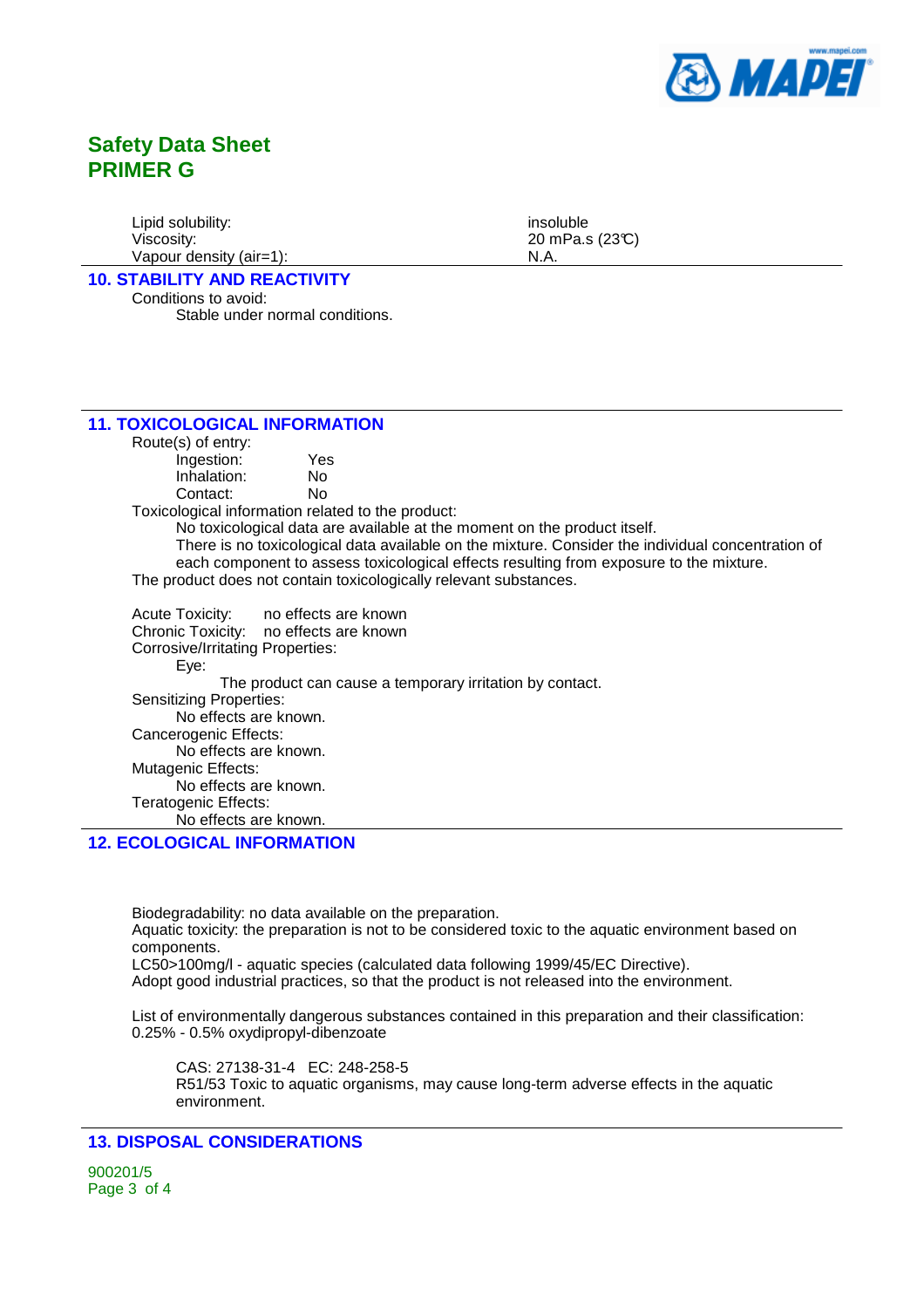

Lipid solubility: insoluble insoluble Viscosity: 20 mPa.s (23°C) Vapour density (air=1): N.A.

**10. STABILITY AND REACTIVITY**

Conditions to avoid: Stable under normal conditions.

### **11. TOXICOLOGICAL INFORMATION**

Route(s) of entry:

Ingestion: Yes Inhalation: No Contact: No

Toxicological information related to the product:

No toxicological data are available at the moment on the product itself.

There is no toxicological data available on the mixture. Consider the individual concentration of each component to assess toxicological effects resulting from exposure to the mixture. The product does not contain toxicologically relevant substances.

Acute Toxicity: no effects are known Chronic Toxicity: no effects are known Corrosive/Irritating Properties: Eye: The product can cause a temporary irritation by contact. Sensitizing Properties: No effects are known. Cancerogenic Effects: No effects are known. Mutagenic Effects: No effects are known. Teratogenic Effects: No effects are known.

## **12. ECOLOGICAL INFORMATION**

Biodegradability: no data available on the preparation. Aquatic toxicity: the preparation is not to be considered toxic to the aquatic environment based on components. LC50>100mg/l - aquatic species (calculated data following 1999/45/EC Directive). Adopt good industrial practices, so that the product is not released into the environment.

List of environmentally dangerous substances contained in this preparation and their classification: 0.25% - 0.5% oxydipropyl-dibenzoate

CAS: 27138-31-4 EC: 248-258-5 R51/53 Toxic to aquatic organisms, may cause long-term adverse effects in the aquatic environment.

## **13. DISPOSAL CONSIDERATIONS**

900201/5 Page 3 of 4